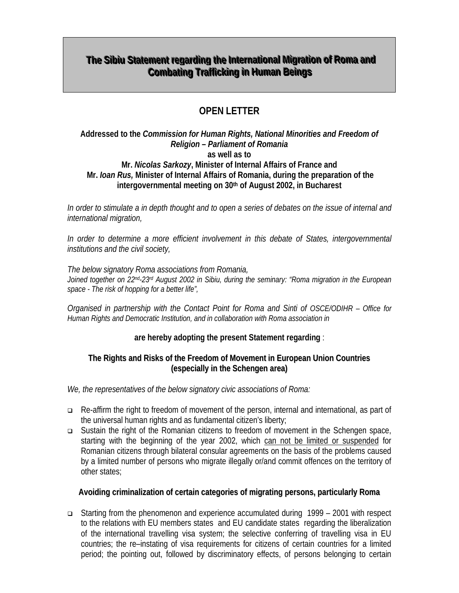# **The Sibiu Statement regarding the International Migration of Roma and Combating Trafficking in Human Beings**

# **OPEN LETTER**

#### **Addressed to the** *Commission for Human Rights, National Minorities and Freedom of Religion – Parliament of Romania*  **as well as to Mr.** *Nicolas Sarkozy***, Minister of Internal Affairs of France and Mr.** *Ioan Rus,* **Minister of Internal Affairs of Romania, during the preparation of the intergovernmental meeting on 30th of August 2002, in Bucharest**

*In order to stimulate a in depth thought and to open a series of debates on the issue of internal and international migration,* 

*In order to determine a more efficient involvement in this debate of States, intergovernmental institutions and the civil society,* 

*The below signatory Roma associations from Romania, Joined together on 22nd-23rd August 2002 in Sibiu, during the seminary: "Roma migration in the European space - The risk of hopping for a better life",* 

*Organised in partnership with the Contact Point for Roma and Sinti of OSCE/ODIHR – Office for Human Rights and Democratic Institution, and in collaboration with Roma association in* 

## **are hereby adopting the present Statement regarding** :

#### **The Rights and Risks of the Freedom of Movement in European Union Countries (especially in the Schengen area)**

*We, the representatives of the below signatory civic associations of Roma:*

- □ Re-affirm the right to freedom of movement of the person, internal and international, as part of the universal human rights and as fundamental citizen's liberty;
- Sustain the right of the Romanian citizens to freedom of movement in the Schengen space, starting with the beginning of the year 2002, which can not be limited or suspended for Romanian citizens through bilateral consular agreements on the basis of the problems caused by a limited number of persons who migrate illegally or/and commit offences on the territory of other states;

## **Avoiding criminalization of certain categories of migrating persons, particularly Roma**

 Starting from the phenomenon and experience accumulated during 1999 – 2001 with respect to the relations with EU members states and EU candidate states regarding the liberalization of the international travelling visa system; the selective conferring of travelling visa in EU countries; the re–instating of visa requirements for citizens of certain countries for a limited period; the pointing out, followed by discriminatory effects, of persons belonging to certain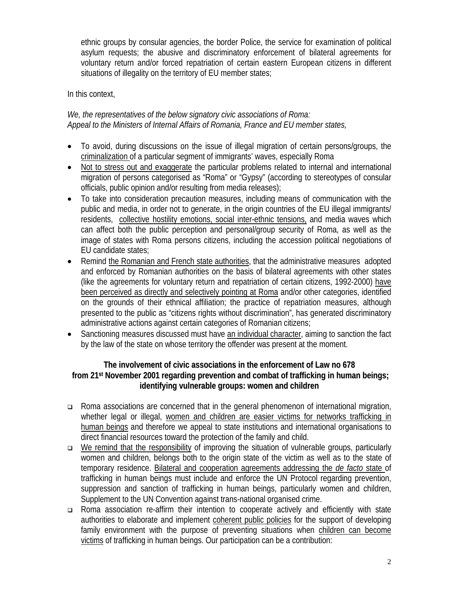ethnic groups by consular agencies, the border Police, the service for examination of political asylum requests; the abusive and discriminatory enforcement of bilateral agreements for voluntary return and/or forced repatriation of certain eastern European citizens in different situations of illegality on the territory of EU member states;

In this context,

*We, the representatives of the below signatory civic associations of Roma: Appeal to the Ministers of Internal Affairs of Romania, France and EU member states,* 

- To avoid, during discussions on the issue of illegal migration of certain persons/groups, the criminalization of a particular segment of immigrants' waves, especially Roma
- Not to stress out and exaggerate the particular problems related to internal and international migration of persons categorised as "Roma" or "Gypsy" (according to stereotypes of consular officials, public opinion and/or resulting from media releases);
- To take into consideration precaution measures, including means of communication with the public and media, in order not to generate, in the origin countries of the EU illegal immigrants/ residents, collective hostility emotions, social inter-ethnic tensions, and media waves which can affect both the public perception and personal/group security of Roma, as well as the image of states with Roma persons citizens, including the accession political negotiations of EU candidate states;
- Remind the Romanian and French state authorities, that the administrative measures adopted and enforced by Romanian authorities on the basis of bilateral agreements with other states (like the agreements for voluntary return and repatriation of certain citizens, 1992-2000) have been perceived as directly and selectively pointing at Roma and/or other categories, identified on the grounds of their ethnical affiliation; the practice of repatriation measures, although presented to the public as "citizens rights without discrimination", has generated discriminatory administrative actions against certain categories of Romanian citizens;
- Sanctioning measures discussed must have an individual character, aiming to sanction the fact by the law of the state on whose territory the offender was present at the moment.

### **The involvement of civic associations in the enforcement of Law no 678 from 21st November 2001 regarding prevention and combat of trafficking in human beings; identifying vulnerable groups: women and children**

- Roma associations are concerned that in the general phenomenon of international migration, whether legal or illegal, women and children are easier victims for networks trafficking in human beings and therefore we appeal to state institutions and international organisations to direct financial resources toward the protection of the family and child.
- $\Box$  We remind that the responsibility of improving the situation of vulnerable groups, particularly women and children, belongs both to the origin state of the victim as well as to the state of temporary residence. Bilateral and cooperation agreements addressing the *de facto* state of trafficking in human beings must include and enforce the UN Protocol regarding prevention, suppression and sanction of trafficking in human beings, particularly women and children, Supplement to the UN Convention against trans-national organised crime.
- Roma association re-affirm their intention to cooperate actively and efficiently with state authorities to elaborate and implement coherent public policies for the support of developing family environment with the purpose of preventing situations when children can become victims of trafficking in human beings. Our participation can be a contribution: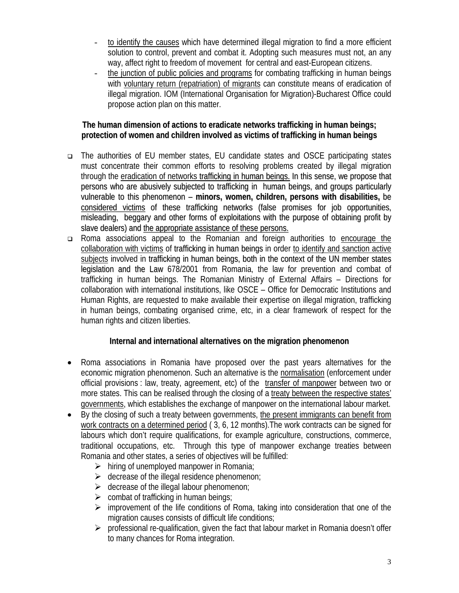- to identify the causes which have determined illegal migration to find a more efficient solution to control, prevent and combat it. Adopting such measures must not, an any way, affect right to freedom of movement for central and east-European citizens.
- the junction of public policies and programs for combating trafficking in human beings with voluntary return (repatriation) of migrants can constitute means of eradication of illegal migration. IOM (International Organisation for Migration)-Bucharest Office could propose action plan on this matter.

### **The human dimension of actions to eradicate networks trafficking in human beings; protection of women and children involved as victims of trafficking in human beings**

- The authorities of EU member states, EU candidate states and OSCE participating states must concentrate their common efforts to resolving problems created by illegal migration through the eradication of networks trafficking in human beings. In this sense, we propose that persons who are abusively subjected to trafficking in human beings, and groups particularly vulnerable to this phenomenon – **minors, women, children, persons with disabilities,** be considered victims of these trafficking networks (false promises for job opportunities, misleading, beggary and other forms of exploitations with the purpose of obtaining profit by slave dealers) and the appropriate assistance of these persons.
- Roma associations appeal to the Romanian and foreign authorities to encourage the collaboration with victims of trafficking in human beings in order to identify and sanction active subjects involved in trafficking in human beings, both in the context of the UN member states legislation and the Law 678/2001 from Romania, the law for prevention and combat of trafficking in human beings. The Romanian Ministry of External Affairs – Directions for collaboration with international institutions, like OSCE – Office for Democratic Institutions and Human Rights, are requested to make available their expertise on illegal migration, trafficking in human beings, combating organised crime, etc, in a clear framework of respect for the human rights and citizen liberties.

## **Internal and international alternatives on the migration phenomenon**

- Roma associations in Romania have proposed over the past years alternatives for the economic migration phenomenon. Such an alternative is the normalisation (enforcement under official provisions : law, treaty, agreement, etc) of the transfer of manpower between two or more states. This can be realised through the closing of a treaty between the respective states' governments, which establishes the exchange of manpower on the international labour market.
- By the closing of such a treaty between governments, the present immigrants can benefit from work contracts on a determined period ( 3, 6, 12 months).The work contracts can be signed for labours which don't require qualifications, for example agriculture, constructions, commerce, traditional occupations, etc. Through this type of manpower exchange treaties between Romania and other states, a series of objectives will be fulfilled:
	- $\triangleright$  hiring of unemployed manpower in Romania;
	- $\triangleright$  decrease of the illegal residence phenomenon;
	- $\triangleright$  decrease of the illegal labour phenomenon;
	- $\triangleright$  combat of trafficking in human beings;
	- $\triangleright$  improvement of the life conditions of Roma, taking into consideration that one of the migration causes consists of difficult life conditions;
	- $\triangleright$  professional re-qualification, given the fact that labour market in Romania doesn't offer to many chances for Roma integration.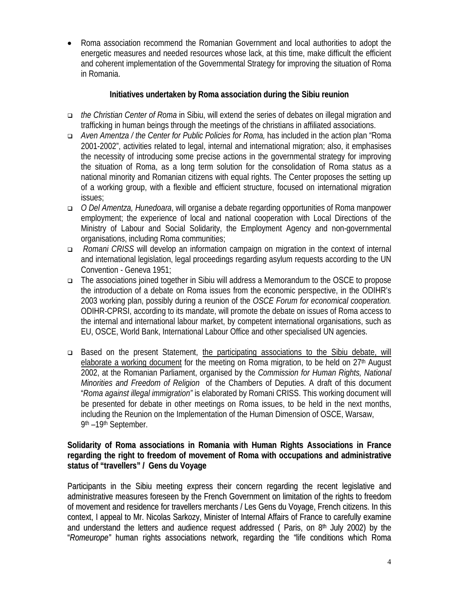• Roma association recommend the Romanian Government and local authorities to adopt the energetic measures and needed resources whose lack, at this time, make difficult the efficient and coherent implementation of the Governmental Strategy for improving the situation of Roma in Romania.

### **Initiatives undertaken by Roma association during the Sibiu reunion**

- *the Christian Center of Roma* in Sibiu, will extend the series of debates on illegal migration and trafficking in human beings through the meetings of the christians in affiliated associations.
- *Aven Amentza / the Center for Public Policies for Roma,* has included in the action plan "Roma 2001-2002", activities related to legal, internal and international migration; also, it emphasises the necessity of introducing some precise actions in the governmental strategy for improving the situation of Roma, as a long term solution for the consolidation of Roma status as a national minority and Romanian citizens with equal rights. The Center proposes the setting up of a working group, with a flexible and efficient structure, focused on international migration issues;
- *O Del Amentza, Hunedoara*, will organise a debate regarding opportunities of Roma manpower employment; the experience of local and national cooperation with Local Directions of the Ministry of Labour and Social Solidarity, the Employment Agency and non-governmental organisations, including Roma communities;
- *Romani CRISS* will develop an information campaign on migration in the context of internal and international legislation, legal proceedings regarding asylum requests according to the UN Convention - Geneva 1951;
- The associations joined together in Sibiu will address a Memorandum to the OSCE to propose the introduction of a debate on Roma issues from the economic perspective, in the ODIHR's 2003 working plan, possibly during a reunion of the *OSCE Forum for economical cooperation.*  ODIHR-CPRSI, according to its mandate, will promote the debate on issues of Roma access to the internal and international labour market, by competent international organisations, such as EU, OSCE, World Bank, International Labour Office and other specialised UN agencies.
- Based on the present Statement, the participating associations to the Sibiu debate, will elaborate a working document for the meeting on Roma migration, to be held on  $27<sup>th</sup>$  August 2002, at the Romanian Parliament, organised by the *Commission for Human Rights, National Minorities and Freedom of Religion* of the Chambers of Deputies. A draft of this document "*Roma against illegal immigration"* is elaborated by Romani CRISS. This working document will be presented for debate in other meetings on Roma issues, to be held in the next months, including the Reunion on the Implementation of the Human Dimension of OSCE, Warsaw, 9th –19th September.

### **Solidarity of Roma associations in Romania with Human Rights Associations in France regarding the right to freedom of movement of Roma with occupations and administrative status of "travellers" / Gens du Voyage**

Participants in the Sibiu meeting express their concern regarding the recent legislative and administrative measures foreseen by the French Government on limitation of the rights to freedom of movement and residence for travellers merchants / Les Gens du Voyage, French citizens. In this context, I appeal to Mr. Nicolas Sarkozy, Minister of Internal Affairs of France to carefully examine and understand the letters and audience request addressed (Paris, on 8<sup>th</sup> July 2002) by the "*Romeurope"* human rights associations network, regarding the "life conditions which Roma